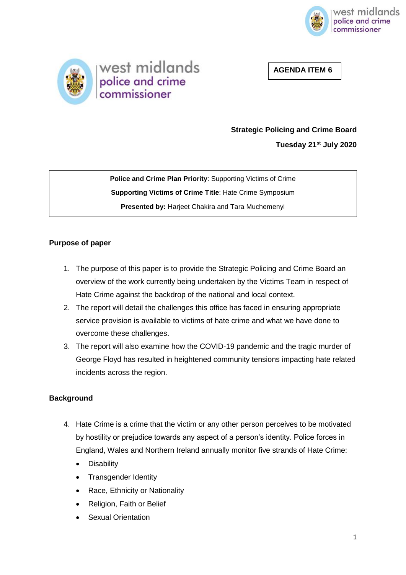

**AGENDA ITEM 6** 



# **Strategic Policing and Crime Board**

**Tuesday 21st July 2020**

**Police and Crime Plan Priority**: Supporting Victims of Crime **Supporting Victims of Crime Title**: Hate Crime Symposium **Presented by:** Harjeet Chakira and Tara Muchemenyi

# **Purpose of paper**

- 1. The purpose of this paper is to provide the Strategic Policing and Crime Board an overview of the work currently being undertaken by the Victims Team in respect of Hate Crime against the backdrop of the national and local context.
- 2. The report will detail the challenges this office has faced in ensuring appropriate service provision is available to victims of hate crime and what we have done to overcome these challenges.
- 3. The report will also examine how the COVID-19 pandemic and the tragic murder of George Floyd has resulted in heightened community tensions impacting hate related incidents across the region.

# **Background**

- 4. Hate Crime is a crime that the victim or any other person perceives to be motivated by hostility or prejudice towards any aspect of a person's identity. Police forces in England, Wales and Northern Ireland annually monitor five strands of Hate Crime:
	- **Disability**
	- Transgender Identity
	- Race, Ethnicity or Nationality
	- Religion, Faith or Belief
	- Sexual Orientation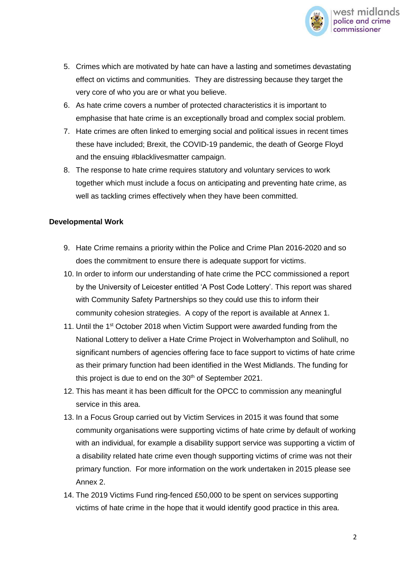

- 5. Crimes which are motivated by hate can have a lasting and sometimes devastating effect on victims and communities. They are distressing because they target the very core of who you are or what you believe.
- 6. As hate crime covers a number of protected characteristics it is important to emphasise that hate crime is an exceptionally broad and complex social problem.
- 7. Hate crimes are often linked to emerging social and political issues in recent times these have included; Brexit, the COVID-19 pandemic, the death of George Floyd and the ensuing #blacklivesmatter campaign.
- 8. The response to hate crime requires statutory and voluntary services to work together which must include a focus on anticipating and preventing hate crime, as well as tackling crimes effectively when they have been committed.

#### **Developmental Work**

- 9. Hate Crime remains a priority within the Police and Crime Plan 2016-2020 and so does the commitment to ensure there is adequate support for victims.
- 10. In order to inform our understanding of hate crime the PCC commissioned a report by the University of Leicester entitled 'A Post Code Lottery'. This report was shared with Community Safety Partnerships so they could use this to inform their community cohesion strategies. A copy of the report is available at Annex 1.
- 11. Until the 1st October 2018 when Victim Support were awarded funding from the National Lottery to deliver a Hate Crime Project in Wolverhampton and Solihull, no significant numbers of agencies offering face to face support to victims of hate crime as their primary function had been identified in the West Midlands. The funding for this project is due to end on the 30<sup>th</sup> of September 2021.
- 12. This has meant it has been difficult for the OPCC to commission any meaningful service in this area.
- 13. In a Focus Group carried out by Victim Services in 2015 it was found that some community organisations were supporting victims of hate crime by default of working with an individual, for example a disability support service was supporting a victim of a disability related hate crime even though supporting victims of crime was not their primary function. For more information on the work undertaken in 2015 please see Annex 2.
- 14. The 2019 Victims Fund ring-fenced £50,000 to be spent on services supporting victims of hate crime in the hope that it would identify good practice in this area.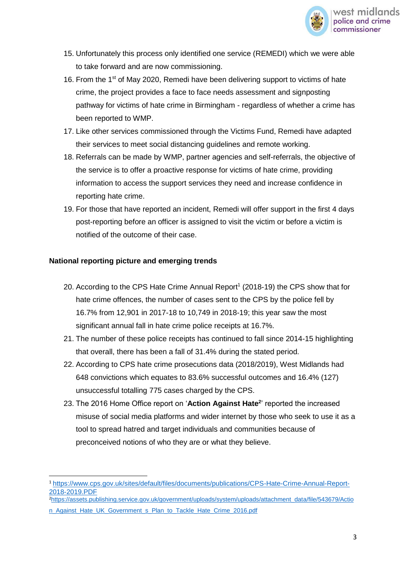

- 15. Unfortunately this process only identified one service (REMEDI) which we were able to take forward and are now commissioning.
- 16. From the 1<sup>st</sup> of May 2020, Remedi have been delivering support to victims of hate crime, the project provides a face to face needs assessment and signposting pathway for victims of hate crime in Birmingham - regardless of whether a crime has been reported to WMP.
- 17. Like other services commissioned through the Victims Fund, Remedi have adapted their services to meet social distancing guidelines and remote working.
- 18. Referrals can be made by WMP, partner agencies and self-referrals, the objective of the service is to offer a proactive response for victims of hate crime, providing information to access the support services they need and increase confidence in reporting hate crime.
- 19. For those that have reported an incident, Remedi will offer support in the first 4 days post-reporting before an officer is assigned to visit the victim or before a victim is notified of the outcome of their case.

#### **National reporting picture and emerging trends**

 $\overline{a}$ 

- 20. According to the CPS Hate Crime Annual Report<sup>1</sup> (2018-19) the CPS show that for hate crime offences, the number of cases sent to the CPS by the police fell by 16.7% from 12,901 in 2017-18 to 10,749 in 2018-19; this year saw the most significant annual fall in hate crime police receipts at 16.7%.
- 21. The number of these police receipts has continued to fall since 2014-15 highlighting that overall, there has been a fall of 31.4% during the stated period.
- 22. According to CPS hate crime prosecutions data (2018/2019), West Midlands had 648 convictions which equates to 83.6% successful outcomes and 16.4% (127) unsuccessful totalling 775 cases charged by the CPS.
- 23. The 2016 Home Office report on '**Action Against Hate<sup>2</sup>** ' reported the increased misuse of social media platforms and wider internet by those who seek to use it as a tool to spread hatred and target individuals and communities because of preconceived notions of who they are or what they believe.

<sup>1</sup> [https://www.cps.gov.uk/sites/default/files/documents/publications/CPS-Hate-Crime-Annual-Report-](https://www.cps.gov.uk/sites/default/files/documents/publications/CPS-Hate-Crime-Annual-Report-2018-2019.PDF)[2018-2019.PDF](https://www.cps.gov.uk/sites/default/files/documents/publications/CPS-Hate-Crime-Annual-Report-2018-2019.PDF)

<sup>2</sup>[https://assets.publishing.service.gov.uk/government/uploads/system/uploads/attachment\\_data/file/543679/Actio](https://assets.publishing.service.gov.uk/government/uploads/system/uploads/attachment_data/file/543679/Action_Against_Hate_UK_Government_s_Plan_to_Tackle_Hate_Crime_2016.pdf) [n\\_Against\\_Hate\\_UK\\_Government\\_s\\_Plan\\_to\\_Tackle\\_Hate\\_Crime\\_2016.pdf](https://assets.publishing.service.gov.uk/government/uploads/system/uploads/attachment_data/file/543679/Action_Against_Hate_UK_Government_s_Plan_to_Tackle_Hate_Crime_2016.pdf)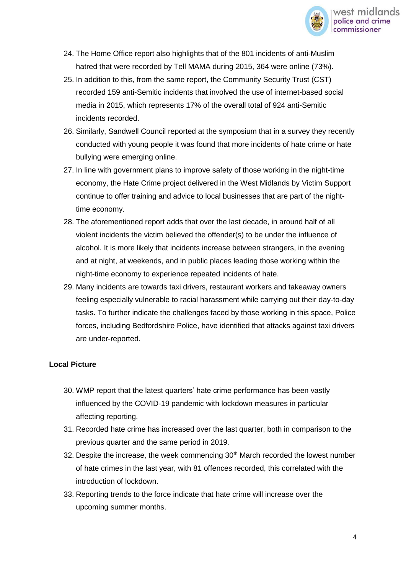

- 24. The Home Office report also highlights that of the 801 incidents of anti-Muslim hatred that were recorded by Tell MAMA during 2015, 364 were online (73%).
- 25. In addition to this, from the same report, the Community Security Trust (CST) recorded 159 anti-Semitic incidents that involved the use of internet-based social media in 2015, which represents 17% of the overall total of 924 anti-Semitic incidents recorded.
- 26. Similarly, Sandwell Council reported at the symposium that in a survey they recently conducted with young people it was found that more incidents of hate crime or hate bullying were emerging online.
- 27. In line with government plans to improve safety of those working in the night-time economy, the Hate Crime project delivered in the West Midlands by Victim Support continue to offer training and advice to local businesses that are part of the nighttime economy.
- 28. The aforementioned report adds that over the last decade, in around half of all violent incidents the victim believed the offender(s) to be under the influence of alcohol. It is more likely that incidents increase between strangers, in the evening and at night, at weekends, and in public places leading those working within the night-time economy to experience repeated incidents of hate.
- 29. Many incidents are towards taxi drivers, restaurant workers and takeaway owners feeling especially vulnerable to racial harassment while carrying out their day-to-day tasks. To further indicate the challenges faced by those working in this space, Police forces, including Bedfordshire Police, have identified that attacks against taxi drivers are under-reported.

# **Local Picture**

- 30. WMP report that the latest quarters' hate crime performance has been vastly influenced by the COVID-19 pandemic with lockdown measures in particular affecting reporting.
- 31. Recorded hate crime has increased over the last quarter, both in comparison to the previous quarter and the same period in 2019.
- 32. Despite the increase, the week commencing  $30<sup>th</sup>$  March recorded the lowest number of hate crimes in the last year, with 81 offences recorded, this correlated with the introduction of lockdown.
- 33. Reporting trends to the force indicate that hate crime will increase over the upcoming summer months.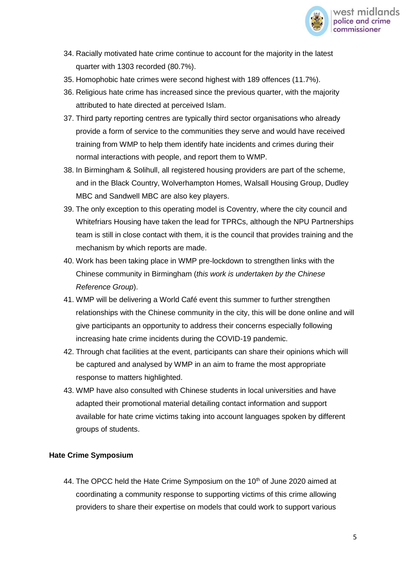

- 34. Racially motivated hate crime continue to account for the majority in the latest quarter with 1303 recorded (80.7%).
- 35. Homophobic hate crimes were second highest with 189 offences (11.7%).
- 36. Religious hate crime has increased since the previous quarter, with the majority attributed to hate directed at perceived Islam.
- 37. Third party reporting centres are typically third sector organisations who already provide a form of service to the communities they serve and would have received training from WMP to help them identify hate incidents and crimes during their normal interactions with people, and report them to WMP.
- 38. In Birmingham & Solihull, all registered housing providers are part of the scheme, and in the Black Country, Wolverhampton Homes, Walsall Housing Group, Dudley MBC and Sandwell MBC are also key players.
- 39. The only exception to this operating model is Coventry, where the city council and Whitefriars Housing have taken the lead for TPRCs, although the NPU Partnerships team is still in close contact with them, it is the council that provides training and the mechanism by which reports are made.
- 40. Work has been taking place in WMP pre-lockdown to strengthen links with the Chinese community in Birmingham (*this work is undertaken by the Chinese Reference Group*).
- 41. WMP will be delivering a World Café event this summer to further strengthen relationships with the Chinese community in the city, this will be done online and will give participants an opportunity to address their concerns especially following increasing hate crime incidents during the COVID-19 pandemic.
- 42. Through chat facilities at the event, participants can share their opinions which will be captured and analysed by WMP in an aim to frame the most appropriate response to matters highlighted.
- 43. WMP have also consulted with Chinese students in local universities and have adapted their promotional material detailing contact information and support available for hate crime victims taking into account languages spoken by different groups of students.

# **Hate Crime Symposium**

44. The OPCC held the Hate Crime Symposium on the 10<sup>th</sup> of June 2020 aimed at coordinating a community response to supporting victims of this crime allowing providers to share their expertise on models that could work to support various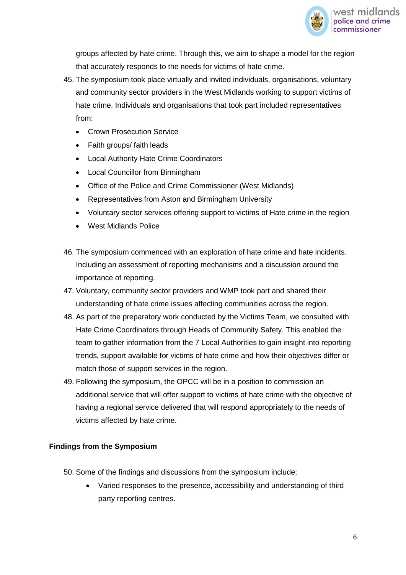

groups affected by hate crime. Through this, we aim to shape a model for the region that accurately responds to the needs for victims of hate crime.

- 45. The symposium took place virtually and invited individuals, organisations, voluntary and community sector providers in the West Midlands working to support victims of hate crime. Individuals and organisations that took part included representatives from:
	- Crown Prosecution Service
	- Faith groups/ faith leads
	- Local Authority Hate Crime Coordinators
	- Local Councillor from Birmingham
	- Office of the Police and Crime Commissioner (West Midlands)
	- Representatives from Aston and Birmingham University
	- Voluntary sector services offering support to victims of Hate crime in the region
	- West Midlands Police
- 46. The symposium commenced with an exploration of hate crime and hate incidents. Including an assessment of reporting mechanisms and a discussion around the importance of reporting.
- 47. Voluntary, community sector providers and WMP took part and shared their understanding of hate crime issues affecting communities across the region.
- 48. As part of the preparatory work conducted by the Victims Team, we consulted with Hate Crime Coordinators through Heads of Community Safety. This enabled the team to gather information from the 7 Local Authorities to gain insight into reporting trends, support available for victims of hate crime and how their objectives differ or match those of support services in the region.
- 49. Following the symposium, the OPCC will be in a position to commission an additional service that will offer support to victims of hate crime with the objective of having a regional service delivered that will respond appropriately to the needs of victims affected by hate crime.

# **Findings from the Symposium**

- 50. Some of the findings and discussions from the symposium include;
	- Varied responses to the presence, accessibility and understanding of third party reporting centres.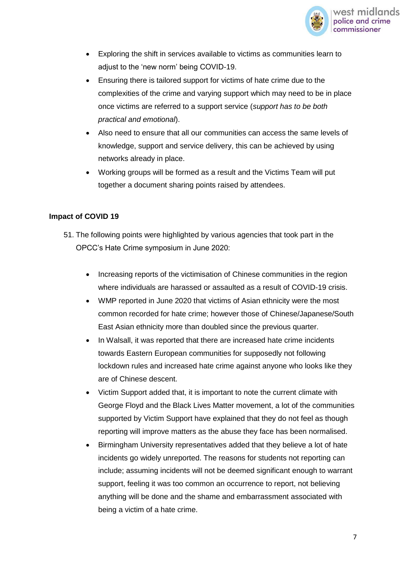

- Exploring the shift in services available to victims as communities learn to adjust to the 'new norm' being COVID-19.
- Ensuring there is tailored support for victims of hate crime due to the complexities of the crime and varying support which may need to be in place once victims are referred to a support service (*support has to be both practical and emotional*).
- Also need to ensure that all our communities can access the same levels of knowledge, support and service delivery, this can be achieved by using networks already in place.
- Working groups will be formed as a result and the Victims Team will put together a document sharing points raised by attendees.

#### **Impact of COVID 19**

- 51. The following points were highlighted by various agencies that took part in the OPCC's Hate Crime symposium in June 2020:
	- Increasing reports of the victimisation of Chinese communities in the region where individuals are harassed or assaulted as a result of COVID-19 crisis.
	- WMP reported in June 2020 that victims of Asian ethnicity were the most common recorded for hate crime; however those of Chinese/Japanese/South East Asian ethnicity more than doubled since the previous quarter.
	- In Walsall, it was reported that there are increased hate crime incidents towards Eastern European communities for supposedly not following lockdown rules and increased hate crime against anyone who looks like they are of Chinese descent.
	- Victim Support added that, it is important to note the current climate with George Floyd and the Black Lives Matter movement, a lot of the communities supported by Victim Support have explained that they do not feel as though reporting will improve matters as the abuse they face has been normalised.
	- Birmingham University representatives added that they believe a lot of hate incidents go widely unreported. The reasons for students not reporting can include; assuming incidents will not be deemed significant enough to warrant support, feeling it was too common an occurrence to report, not believing anything will be done and the shame and embarrassment associated with being a victim of a hate crime.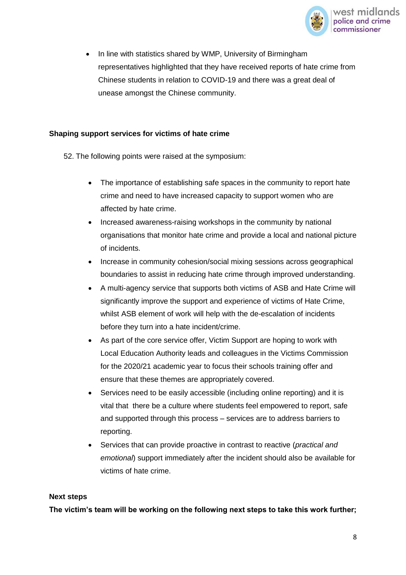

 In line with statistics shared by WMP, University of Birmingham representatives highlighted that they have received reports of hate crime from Chinese students in relation to COVID-19 and there was a great deal of unease amongst the Chinese community.

#### **Shaping support services for victims of hate crime**

- 52. The following points were raised at the symposium:
	- The importance of establishing safe spaces in the community to report hate crime and need to have increased capacity to support women who are affected by hate crime.
	- Increased awareness-raising workshops in the community by national organisations that monitor hate crime and provide a local and national picture of incidents.
	- Increase in community cohesion/social mixing sessions across geographical boundaries to assist in reducing hate crime through improved understanding.
	- A multi-agency service that supports both victims of ASB and Hate Crime will significantly improve the support and experience of victims of Hate Crime, whilst ASB element of work will help with the de-escalation of incidents before they turn into a hate incident/crime.
	- As part of the core service offer, Victim Support are hoping to work with Local Education Authority leads and colleagues in the Victims Commission for the 2020/21 academic year to focus their schools training offer and ensure that these themes are appropriately covered.
	- Services need to be easily accessible (including online reporting) and it is vital that there be a culture where students feel empowered to report, safe and supported through this process – services are to address barriers to reporting.
	- Services that can provide proactive in contrast to reactive (*practical and emotional*) support immediately after the incident should also be available for victims of hate crime.

#### **Next steps**

**The victim's team will be working on the following next steps to take this work further;**